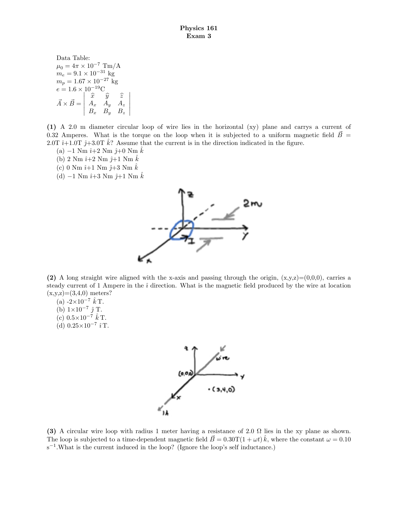Data Table:  $\mu_0 = 4\pi \times 10^{-7} \text{ Tm/A}$  $m_e = 9.1 \times 10^{-31}$  kg  $m_p = 1.67 \times 10^{-27}$  kg  $e = 1.6 \times 10^{-19} \text{C}$  $\vec{A} \times \vec{B} =$   $\begin{array}{ccc} \widehat{x} & \widehat{y} & \widehat{z} \\ A_x & A_y & A_z \end{array}$  $B_x$   $B_y$   $B_z$  

(1) A 2.0 m diameter circular loop of wire lies in the horizontal (xy) plane and carrys a current of 0.32 Amperes. What is the torque on the loop when it is subjected to a uniform magnetic field  $\vec{B}$  = 2.0T  $\hat{i}+1.0T \hat{j}+3.0T \hat{k}$ ? Assume that the current is in the direction indicated in the figure.

- (a)  $-1$  Nm  $\hat{i}+2$  Nm  $\hat{j}+0$  Nm  $\hat{k}$
- (b) 2 Nm  $\hat{i}+2$  Nm  $\hat{j}+1$  Nm  $k$
- (c) 0 Nm  $\hat{i}$ +1 Nm  $\hat{j}$ +3 Nm  $\hat{k}$
- (d)  $-1$  Nm  $\hat{i}+3$  Nm  $\hat{j}+1$  Nm  $\hat{k}$



(2) A long straight wire aligned with the x-axis and passing through the origin,  $(x,y,z)=(0,0,0)$ , carries a steady current of 1 Ampere in the  $\hat{i}$  direction. What is the magnetic field produced by the wire at location  $(x,y,z)=(3,4,0)$  meters?

(a)  $-2\times 10^{-7} \hat{k}$  T.

- (b)  $1\times10^{-7}$   $\hat{j}$  T.
- (c)  $0.5 \times 10^{-7} \hat{k}$  T.
- (d)  $0.25 \times 10^{-7} \hat{i}$  T.



(3) A circular wire loop with radius 1 meter having a resistance of 2.0  $\Omega$  lies in the xy plane as shown. The loop is subjected to a time-dependent magnetic field  $\vec{B} = 0.30 \text{T} (1 + \omega t) \hat{k}$ , where the constant  $\omega = 0.10$  $s^{-1}$ . What is the current induced in the loop? (Ignore the loop's self inductance.)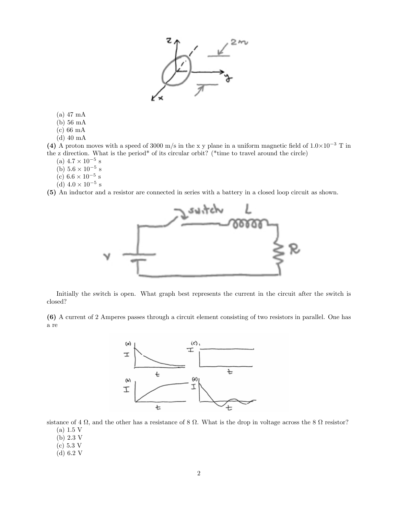

(a) 47 mA

(b) 56 mA

(c) 66 mA

(d) 40 mA

(4) A proton moves with a speed of 3000 m/s in the x y plane in a uniform magnetic field of  $1.0\times10^{-3}$  T in the z direction. What is the period\* of its circular orbit? (\*time to travel around the circle)

(a)  $4.7 \times 10^{-5}$  s

- (b)  $5.6 \times 10^{-5}$  s
- (c)  $6.6 \times 10^{-5}$  s
- (d)  $4.0 \times 10^{-5}$  s

(5) An inductor and a resistor are connected in series with a battery in a closed loop circuit as shown.



Initially the switch is open. What graph best represents the current in the circuit after the switch is closed?

(6) A current of 2 Amperes passes through a circuit element consisting of two resistors in parallel. One has a re



sistance of  $4 \Omega$ , and the other has a resistance of  $8 \Omega$ . What is the drop in voltage across the  $8 \Omega$  resistor?

- $(a)$  1.5 V
- (b) 2:3 V
- $(c) 5.3 V$
- (d) 6:2 V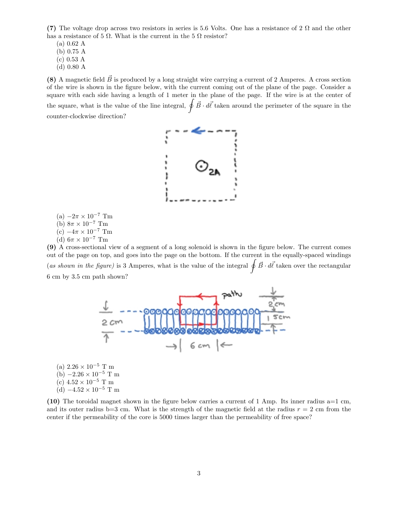(7) The voltage drop across two resistors in series is 5.6 Volts. One has a resistance of  $2 \Omega$  and the other has a resistance of 5  $\Omega$ . What is the current in the 5  $\Omega$  resistor?

 $(a) 0.62 A$ (b) 0:75 A  $(c)$  0.53 A

(d) 0:80 A

(8) A magnetic field  $\vec{B}$  is produced by a long straight wire carrying a current of 2 Amperes. A cross section of the wire is shown in the Ögure below, with the current coming out of the plane of the page. Consider a square with each side having a length of 1 meter in the plane of the page. If the wire is at the center of the square, what is the value of the line integral,  $\oint \vec{B} \cdot d\vec{l}$  taken around the perimeter of the square in the counter-clockwise direction?



- (a)  $-2\pi \times 10^{-7}$  Tm
- (b)  $8\pi \times 10^{-7}$  Tm
- (c)  $-4\pi \times 10^{-7}$  Tm
- (d)  $6\pi \times 10^{-7}$  Tm

(9) A cross-sectional view of a segment of a long solenoid is shown in the Ögure below. The current comes out of the page on top, and goes into the page on the bottom. If the current in the equally-spaced windings (as shown in the figure) is 3 Amperes, what is the value of the integral  $\oint \vec{B} \cdot d\vec{l}$  taken over the rectangular 6 cm by 3.5 cm path shown?



(a)  $2.26 \times 10^{-5}$  T m (b)  $-2.26 \times 10^{-5}$  T m (c)  $4.52 \times 10^{-5}$  T m (d)  $-4.52 \times 10^{-5}$  T m

(10) The toroidal magnet shown in the figure below carries a current of 1 Amp. Its inner radius  $a=1$  cm, and its outer radius b=3 cm. What is the strength of the magnetic field at the radius  $r = 2$  cm from the center if the permeability of the core is 5000 times larger than the permeability of free space?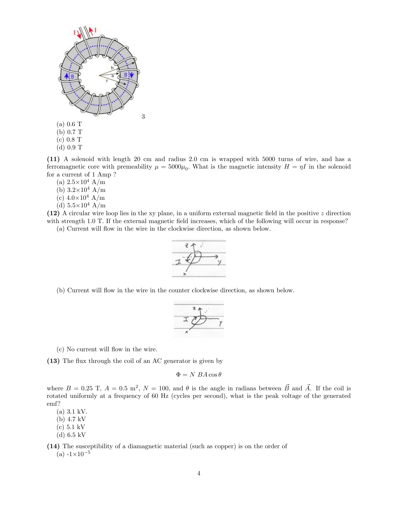

(11) A solenoid with length 20 cm and radius 2.0 cm is wrapped with 5000 turns of wire, and has a ferromagnetic core with premeability  $\mu = 5000\mu_0$ . What is the magnetic intensity  $H = \eta I$  in the solenoid for a current of 1 Amp ?

- (a)  $2.5 \times 10^4$  A/m
- (b)  $3.2 \times 10^4$  A/m
- (c)  $4.0\times10^4$  A/m
- (d)  $5.5\times10^4$  A/m

(12) A circular wire loop lies in the xy plane, in a uniform external magnetic field in the positive  $z$  direction with strength 1.0 T. If the external magnetic field increases, which of the following will occur in response?

(a) Current will flow in the wire in the clockwise direction, as shown below.



(b) Current will áow in the wire in the counter clockwise direction, as shown below.



(c) No current will flow in the wire.

(13) The flux through the coil of an AC generator is given by

 $\Phi = N \, BA \cos \theta$ 

where  $B = 0.25$  T,  $A = 0.5$  m<sup>2</sup>,  $N = 100$ , and  $\theta$  is the angle in radians between  $\vec{B}$  and  $\vec{A}$ . If the coil is rotated uniformly at a frequency of 60 Hz (cycles per second), what is the peak voltage of the generated emf?

(a) 3.1 kV.

- (b) 4.7 kV
- (c) 5.1 kV
- (d) 6.5 kV

(14) The susceptibility of a diamagnetic material (such as copper) is on the order of (a)  $-1 \times 10^{-5}$